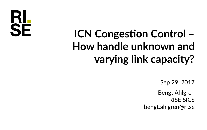RI **SE** 

## **ICN Congestion Control – How handle unknown and varying link capacity?**

Sep 29, 2017

Bengt Ahlgren RISE SICS bengt.ahlgren@ri.se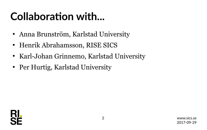#### **Collaboration with...**

- Anna Brunström, Karlstad University
- Henrik Abrahamsson, RISE SICS
- Karl-Johan Grinnemo, Karlstad University
- Per Hurtig, Karlstad University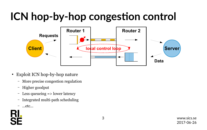### **ICN hop-by-hop congestion control**



- Exploit ICN hop-by-hop nature
	- More precise congestion regulation
	- Higher goodput
	- Less queueing => lower latency
	- Integrated multi-path scheduling
	- ...etc...

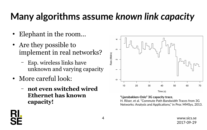#### **Many algorithms assume** *known link capacity*

- Elephant in the room...
- Are they possible to implement in real networks?
	- Esp. wireless links have unknown and varying capacity
- More careful look:
	- **not even switched wired Ethernet has known capacity!**



Time (s)

**"Ljansbakken-Oslo" 3G capacity trace**,

H. Riiser, et al. "Commute Path Bandwidth Traces from 3G Networks: Analysis and Applications," in Proc MMSys, 2013.

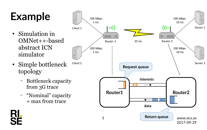## **Example**

- Simulation in OMNet++-based abstract ICN simulator
- Simple bottleneck topology
	- Bottleneck capacity from 3G trace
	- "Nominal" capacity = max from trace

RI.

SF

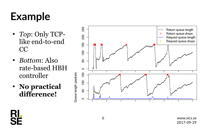### **Example**

- *Top*: Only TCPlike end-to-end CC
- *Bottom*: Also rate-based HBH controller





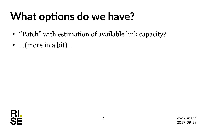#### **What options do we have?**

- "Patch" with estimation of available link capacity?
- ...(more in a bit)...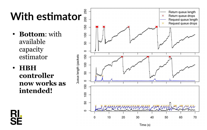# **With estimator**

- **Bottom**: with available capacity estimator
- **HBH controller now works as intended!**

<u>RI.</u>

SF



Time (s)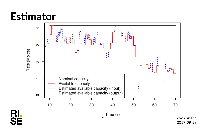#### **Estimator**